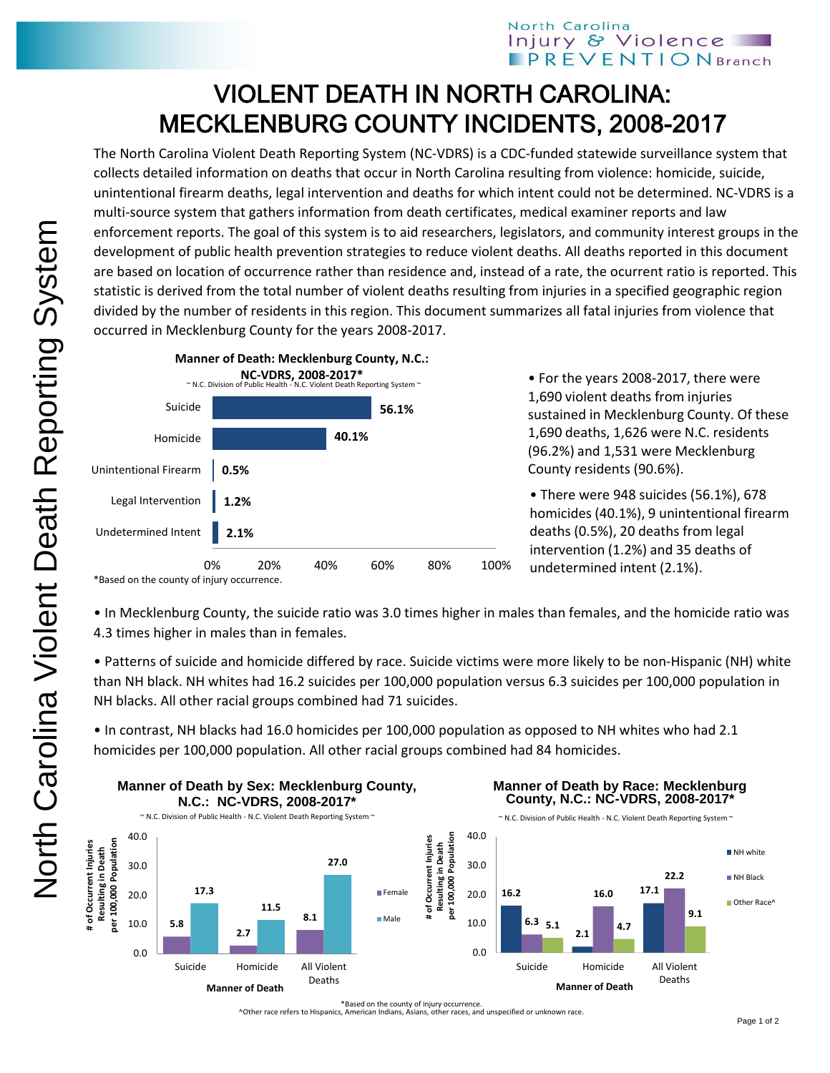## North Carolina Injury & Violence **PREVENTIONBranch**

## VIOLENT DEATH IN NORTH CAROLINA: MECKLENBURG COUNTY INCIDENTS, 2008-2017

The North Carolina Violent Death Reporting System (NC-VDRS) is a CDC-funded statewide surveillance system that collects detailed information on deaths that occur in North Carolina resulting from violence: homicide, suicide, unintentional firearm deaths, legal intervention and deaths for which intent could not be determined. NC-VDRS is a multi-source system that gathers information from death certificates, medical examiner reports and law enforcement reports. The goal of this system is to aid researchers, legislators, and community interest groups in the development of public health prevention strategies to reduce violent deaths. All deaths reported in this document are based on location of occurrence rather than residence and, instead of a rate, the ocurrent ratio is reported. This statistic is derived from the total number of violent deaths resulting from injuries in a specified geographic region divided by the number of residents in this region. This document summarizes all fatal injuries from violence that occurred in Mecklenburg County for the years 2008-2017.



• For the years 2008-2017, there were 1,690 violent deaths from injuries sustained in Mecklenburg County. Of these 1,690 deaths, 1,626 were N.C. residents (96.2%) and 1,531 were Mecklenburg County residents (90.6%).

• There were 948 suicides (56.1%), 678 homicides (40.1%), 9 unintentional firearm deaths (0.5%), 20 deaths from legal intervention (1.2%) and 35 deaths of undetermined intent (2.1%).

• In Mecklenburg County, the suicide ratio was 3.0 times higher in males than females, and the homicide ratio was 4.3 times higher in males than in females.

• Patterns of suicide and homicide differed by race. Suicide victims were more likely to be non-Hispanic (NH) white than NH black. NH whites had 16.2 suicides per 100,000 population versus 6.3 suicides per 100,000 population in NH blacks. All other racial groups combined had 71 suicides.

• In contrast, NH blacks had 16.0 homicides per 100,000 population as opposed to NH whites who had 2.1 homicides per 100,000 population. All other racial groups combined had 84 homicides.



\*Based on the county of injury occurrence. ^Other race refers to Hispanics, American Indians, Asians, other races, and unspecified or unknown race.

<sup>\*</sup>Based on the county of injury occurrence.